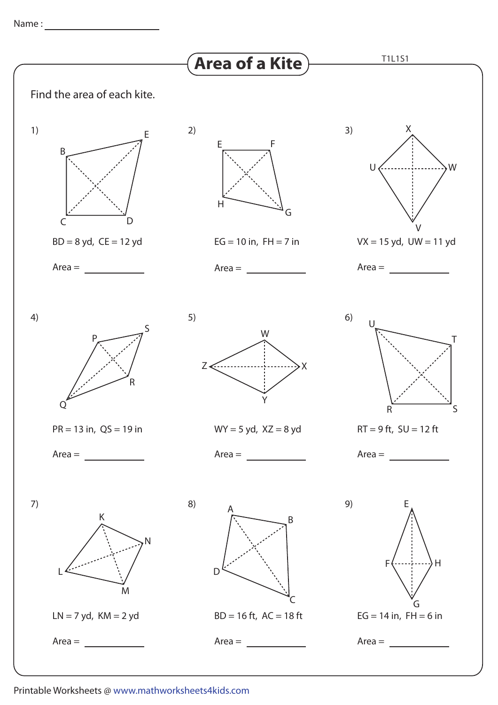